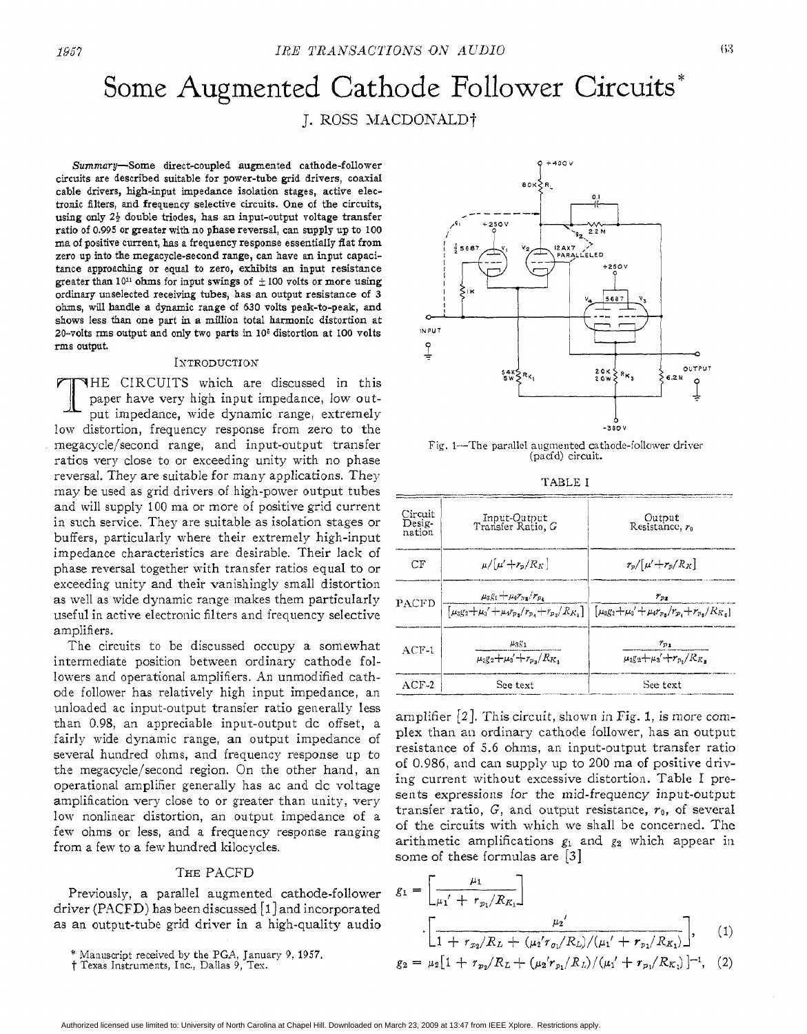# Some Augmented Cathode Follower Circuits<sup>\*</sup>

J. ROSS MACDONALD†

Summary-Some direct-coupled augmented cathode-follower circuits are described suitable for power-tube grid drivers, coaxial cable drivers, high-input impedance isolation stages, active electronic filters, **and** frequency selective circuits. One of the circuits, using only *Z\$* double triodes, has **an** input-output voltage transfer ratio of 0.995 or greater with no phase reversal, can supply **up** to 100 ma of positive current, has a frequency response essentially **flat** from zero **up** into the megacycle-second range, can have **an** input capacitance approaching or equal to zero, exhibits **an** input resistance greater than  $10^{11}$  ohms for input swings of  $\pm 100$  volts or more using ordinary unselected receiving tubes, has **an** output resistance of **3**  olxms, will **handle a** dynamic range of *630* volts peak-to-peak, **and shows** less **than one** part in a million total harmonic distortion **at**  20-volts **rms** output and **only** two parts in **106** distortion at **100** volts **ms** output.

### INTRODUCTION

THE CIRCUITS which are discussed in this paper have very high input impedance, low out put impedance, wide dynamic range, extremely low distortion, frequency response from zero to the megacycle/second range, and input-output transfer ratios very close to or exceeding unity with no phase reversal. They are suitable for many applications. They may be used as grid drivers of high-power output tubes and will supply 100 ma or more of positive grid current in such service. They are suitable as isolation stages or buffers, particularly where their extremely high-input impedance characteristics are desirable. Their lack of phase reversal together with transfer ratios equal to or exceeding unity and their vanishingly small distortion as well as wide dynamic range makes them particularly useful in active electronic filters and frequency selective amplifiers.

The circuits to be discussed occupy a somewhat intermediate position between ordinary cathode followers and operational amplifiers. An unmodified cathode follower has relatively high input impedance, an unloaded ac input-output transfer ratio generally less than 0.98, an appreciable input-output dc offset, a fairly wide dynamic range, an output impedance of several hundred ohms, and frequency response up to the megacycle/second region. On the other hand, an operational amplifier generally has ac and dc voltage amplification very close to or greater than unity, very low nonlinear distortion, an output impedance of a few ohms *os* less, and a frequency response ranging from a few to a few hundred kilocycles.

## THE PACFD

Previously, a parallel augmented cathode-follower driver (PACFD) has been discussed  $\lceil 1 \rceil$  and incorporated as an output-tube grid driver in a high-quality audio



Fig. 1-The parallel augmented cathode-follower driver (pacfd) circuit.

| Circuit<br>Desig-<br>nation | Input-Output<br>Transfer Ratio, G                                                                       | Output<br>Resistance, r <sub>0</sub>                                                                                                    |  |
|-----------------------------|---------------------------------------------------------------------------------------------------------|-----------------------------------------------------------------------------------------------------------------------------------------|--|
| CF                          | $\mu/[\mu'+r_p/R_K]$                                                                                    | $r_p/[\mu'+r_p/R_K]$                                                                                                                    |  |
| PACFD                       | $\mu_3g_1+\mu_4r_{\mu_3}/r_{\mu_4}$<br>$[\mu_3 g_2 + \mu_3' + \mu_4 r_{p_3}/r_{p_4} + r_{p_3}/R_{K_3}]$ | $r_{\scriptscriptstyle\mathcal{D}^{\scriptscriptstyle\mathcal{R}}}$<br>$[\mu_3 g_2 + \mu_4' + \mu_4 r_{p_3}/r_{p_4} + r_{p_3}/R_{K_3}]$ |  |
| $ACF-1$                     | $\mu_3$ g <sub>1</sub><br>$\mu_3 g_2 + \mu_3' + r_{p_2}/R_K$                                            | $r_{p_1}$<br>$\mu_3 g_2 + \mu_3' + r_p$ , / $R_K$ .                                                                                     |  |
| $ACF-2$                     | See text                                                                                                | See text                                                                                                                                |  |

amplifier  $[2]$ . This circuit, shown in Fig. 1, is more complex than an ordinary cathode follower, has an output resistance of 5.6 ohms, an input-output transfer ratio of 0.986, and can supply up to 200 ma of positive driving current without excessive distortion. Table I presents expressions for the mid-frequency input-output transfer ratio,  $G$ , and output resistance,  $r_0$ , of several of the circuits with which we shall be concerned. Thc arithmetic amplifications  $g_1$  and  $g_2$  which appear in some of these formulas are *[3]* 

$$
g_1 = \left[\frac{\mu_1}{\mu_1' + r_{p_1}/R_{K_1}}\right]
$$
  

$$
\cdot \left[\frac{\mu_2'}{1 + r_{p_2}/R_L + (\mu_2' r_{p_1}/R_L)/(\mu_1' + r_{p_1}/R_{K_1})}\right], \quad (1)
$$
  

$$
g_2 = \mu_2[1 + r_{p_2}/R_L + (\mu_2' r_{p_1}/R_L)/(\mu_1' + r_{p_1}/R_{K_1})]^{-1}, \quad (2)
$$

<sup>\*</sup> Manuscript received by the PGA, January *9,* 1957

t Texas Instruments, Inc., Dallas 9, Tes.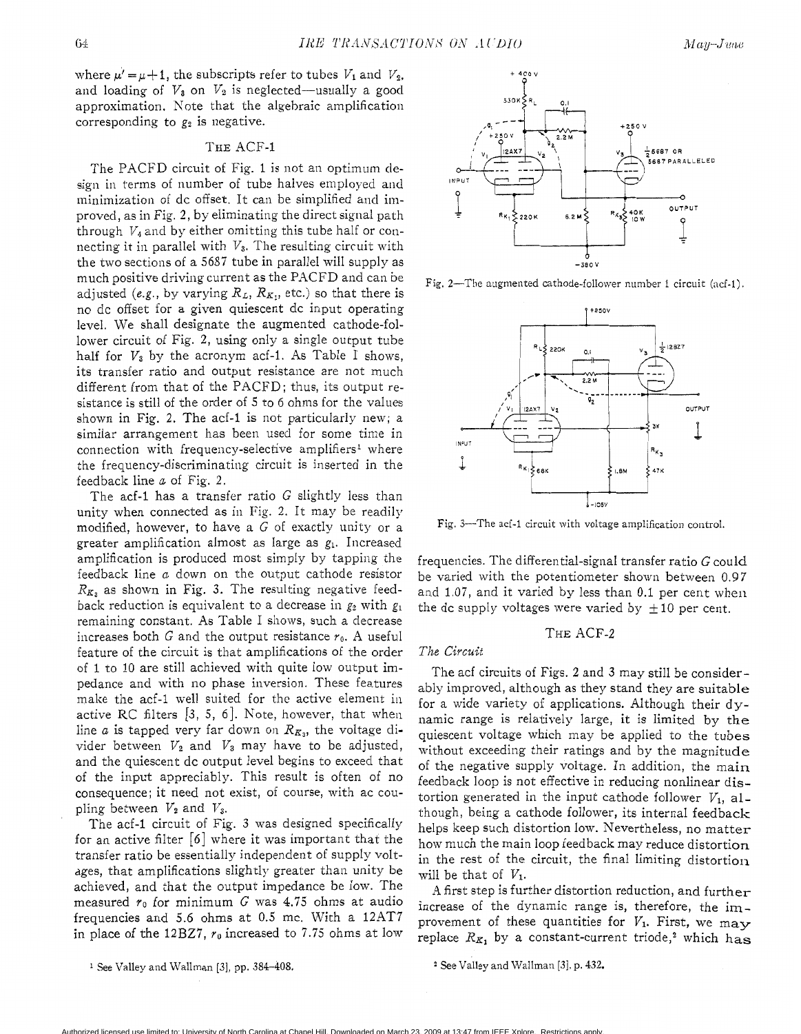where  $\mu' = \mu + 1$ , the subscripts refer to tubes  $V_1$  and  $V_2$ , and loading of  $V_3$  on  $V_2$  is neglected—usually a good approximation. Note that the algebraic amplification corresponding to  $g_2$  is negative.

# THE ACF-1

The PACFD circuit of Fig. 1 is not an optimum design in terms of number of tube halves employed and minimization of dc offset. It can be simplified and improved, as in Fig. 2, by eliminating the direct signal path through  $V_4$  and by either omitting this tube half or connecting it in parallel with  $V_3$ . The resulting circuit with the two sections of a 5687 tube in parallel will supply as much positive driving current as the PACFD and can be adjusted (e.g., by varying  $R_L$ ,  $R_{K_1}$ , etc.) so that there is no dc offset for a given quiescent dc input operating level. We shall designate the augmented cathode-follower circuit of Fig. 2, using only a single output tube half for  $V_3$  by the acronym acf-1. As Table I shows, its transfer ratio and output resistance are not much different from that of the PACFD; thus, its output resistance is still of the order of 5 to 6 ohms for the values shown in Fig. **2.** The acf-1 is not particularly new; a similar arrangement has been used for some time in connection with frequency-selective amplifiers<sup>1</sup> where the frequency-discriminatiug' circuit is inserted in the feedback line *a* of Fig. **2.** 

The acf-1 has a transfer ratio  $G$  slightly less than unity when connected as in Fig. **2.** It may be readily modified, however, to have a  $G$  of exactly unity or a greater amplification almost as large as  $g_1$ . Increased amplification is produced most simply by tapping the feedback line *a* down on the output cathode resistor  $R_{K_3}$  as shown in Fig. 3. The resulting negative feedback reduction is equivalent to a decrease in  $g_2$  with  $g_1$ remaining constant. As Table I shows, such a decrease increases both G and the output resistance  $r_0$ . A useful feature of the circuit is that amplifications of the order of 1 to 10 are still achieved with quite low output impedance and with no phase inversion. These features make the acf-1 well suited for the active element in active RC filters [3, 5, 6]. Note, however, that when line *a* is tapped very far down on  $R_{K_3}$ , the voltage divider between  $V_2$  and  $V_3$  may have to be adjusted, and the quiescent dc output level begins to exceed that of the input appreciably. This result is often of no consequence; it need not exist, of course, with ac coupling between  $V_2$  and  $V_3$ .

The acf-1 circuit of Fig. **3** was designed specifically for an active filter *[6]* where it was important that the transfer ratio be essentially independent of supply voltages, that amplifications slightly greater than unity be achieved, and that the output impedance be low. The measured *yo* for minimum *G* was 4.75 ohms at audio frequencies and *5.6* ohms at 0.5 mc. With a 12AT7 in place of the 12BZ7, *yo* increased to 7.75 ohms at low

**<sup>1</sup>**See Valley and Wallman [3], **pp.** 384-408.



Fig. 2-The augmented cathode-follower number 1 circuit (acf-1).



Fig. 3--The acf-1 circuit with voltage amplification control.

frequencies. The differential-signal transfer ratio G could be varied with the potentiometer shown between 0.97 and 1.07, and it varied by less than 0.1 per cent when the dc supply voltages were varied by  $\pm 10$  per cent.

## THE ACF-2

#### *The Circuit*

The acf circuits of Figs. **2** and **3** may still be considerably improved, although as they stand they are suitable for a wide variety of applications. Although their dynamic range is relatively large, it is limited by the quiescent voltage which may be applied to the tubes without exceeding their ratings and by the magnitude of the negative supply voltage. In addition, the main feedback loop is not effective in reducing nonlinear distortion generated in the input cathode follower  $V_1$ , although, being a cathode follower, its internal feedback helps keep such distortion low. Nevertheless, no matter how much the main loop feedback may reduce distortion in the rest of the circuit, the final limiting distortion will be that of  $V_1$ .

4 first step is further distortion reduction, and further increase of the dynamic range is, therefore, the improvement of these quantities for  $V_1$ . First, we may replace  $R_{K_1}$  by a constant-current triode,<sup>2</sup> which has

**<sup>2</sup>**See Valley and Wallman [31, **p. 432.**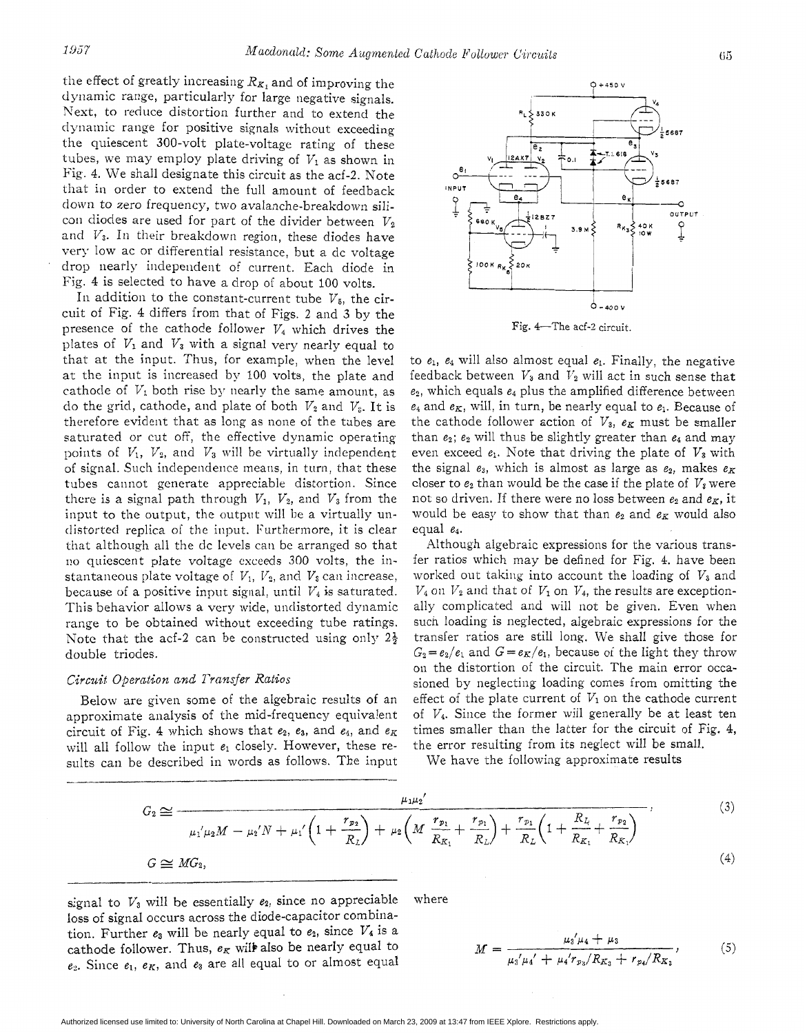the effect of greatly increasing  $R_K$ , and of improving the dwamic range, particularly for large negative signals. Next, to reduce distortion further and to extend the dynamic range for positive signals without exceeding the quiescent 300-voIt plate-voltage rating of these tubes, we may employ plate driving of  $V_1$  as shown in Fig. 4. We shall designate this circuit as the acf-2. Note that in order to extend the full amount of feedback down to zero frequency, two avalanche-breakdown silicon diodes are used for part of the divider between  $V_2$ and  $V_3$ . In their breakdown region, these diodes have very low ac or differential resistance, but a dc voltage drop nearly independent of current. Each diode in Fig. 4 is selected to have a drop oi about 100 volts.

In addition to the constant-current tube  $V_5$ , the circuit of Fig. **4** differs from that of Figs. 2 and *3* by the presence of the cathode follower  $V_4$  which drives the plates of  $V_1$  and  $V_3$  with a signal very nearly equal to that at the input. Thus, for example, when the level at the input is increased *by* 100 volts, the plate and cathode of  $V_1$  both rise by nearly the same amount, as do the grid, cathode, and plate of both  $V_2$  and  $V_3$ . It is therefore evident that as long as none of the tubes are saturated or cut off, the effective dynamic operating points of  $V_1$ ,  $V_2$ , and  $V_3$  will be virtually independent of signal. Such independence means, in turn, that these tubes cannot generate appreciable distortion. Since there is a signal path through  $V_1$ ,  $V_2$ , and  $V_3$  from the input to the output, the output will be a virtually undistorted replica of the input. Furthermore, it is clear that although all the dc levels can be arranged so that no quiescent plate voltage exceeds 300 volts, the instantaneous plate voltage of  $V_1$ ,  $V_2$ , and  $V_3$  can increase, because of a positive input signal, until  $V_4$  is saturated. This behavior allows a very wide, undistorted dynamic range to be obtained without exceeding tube ratings. Note that the acf-2 can be constructed using only  $2\frac{1}{2}$ double triodes.

## *Circuif Operation and Transfer Ratios*

Below are given some of the algebraic results of an approximate analysis of the mid-frequency equivalent circuit of Fig. 4 which shows that *e2, e3,* and *e4,* and *eK*  will all follow the input *el* closely. However, these results can be described in words as follows. The input

to  $e_1$ ,  $e_4$  will also almost equal  $e_1$ . Finally, the negative feedback between  $V_3$  and  $V_2$  will act in such sense that *es,* which equals *e4* plus the amplified difference between  $e_4$  and  $e_K$ , will, in turn, be nearly equal to  $e_1$ . Because of the cathode follower action of  $V_3$ ,  $e_K$  must be smaller than *e2; e2* will thus be slightly greater than *e4* and may even exceed  $e_1$ . Note that driving the plate of  $V_3$  with the signal  $e_3$ , which is almost as large as  $e_2$ , makes  $e_K$ closer to  $e_2$  than would be the case if the plate of  $V_3$  were not so driven. If there were no loss between  $e_2$  and  $e_K$ , it would be easy to show that than  $e_2$  and  $e_K$  would also equal *e4.* 

Although algebraic expressions for the various transfer ratios which may be defined for Fig. 4. have been worked out taking into account the loading of  $V_3$  and  $V_4$  on  $V_2$  and that of  $V_1$  on  $V_4$ , the results are exceptionally complicated and will not be given. Even when such loading is neglected, algebraic expressions for the transfer ratios are still long. We shall give those for  $G_2 = e_2/e_1$  and  $G = e_K/e_1$ , because of the light they throw on the distortion of the circuit. The main error occasioned by neglecting loading comes from omitting the effect of the plate current of  $V_1$  on the cathode current of *V4.* Since the former will generally be at least ten times smaller than the latter for the circuit of Fig. 4, the error resulting from its neglect will be small.

We have the following approximate results

$$
G_2 \cong \frac{\mu_1 \mu_2'}{\mu_1' \mu_2 M - \mu_2' N + \mu_1' \left(1 + \frac{r_{p_2}}{R_L}\right) + \mu_2 \left(M \frac{r_{p_1}}{R_{K_1}} + \frac{r_{p_1}}{R_L}\right) + \frac{r_{p_1}}{R_L} \left(1 + \frac{R_L}{R_{K_1}} + \frac{r_{p_2}}{R_{K_1}}\right)},
$$
\n
$$
G \cong MG_2,
$$
\n(4)

signal to  $V_3$  will be essentially  $e_2$ , since no appreciable where loss of signal occurs across the diode-capacitor combination. Further  $e_3$  will be nearly equal to  $e_2$ , since  $V_4$  is a cathode follower. Thus,  $e_K$  will also be nearly equal to  $e_2$ . Since  $e_1$ ,  $e_K$ , and  $e_3$  are all equal to or almost equal

$$
M = \frac{\mu_3/\mu_4 + \mu_3}{\mu_3/\mu_4' + \mu_4' r_{p_3}/R_{K_3} + r_{p_4}/R_{K_3}},\tag{5}
$$

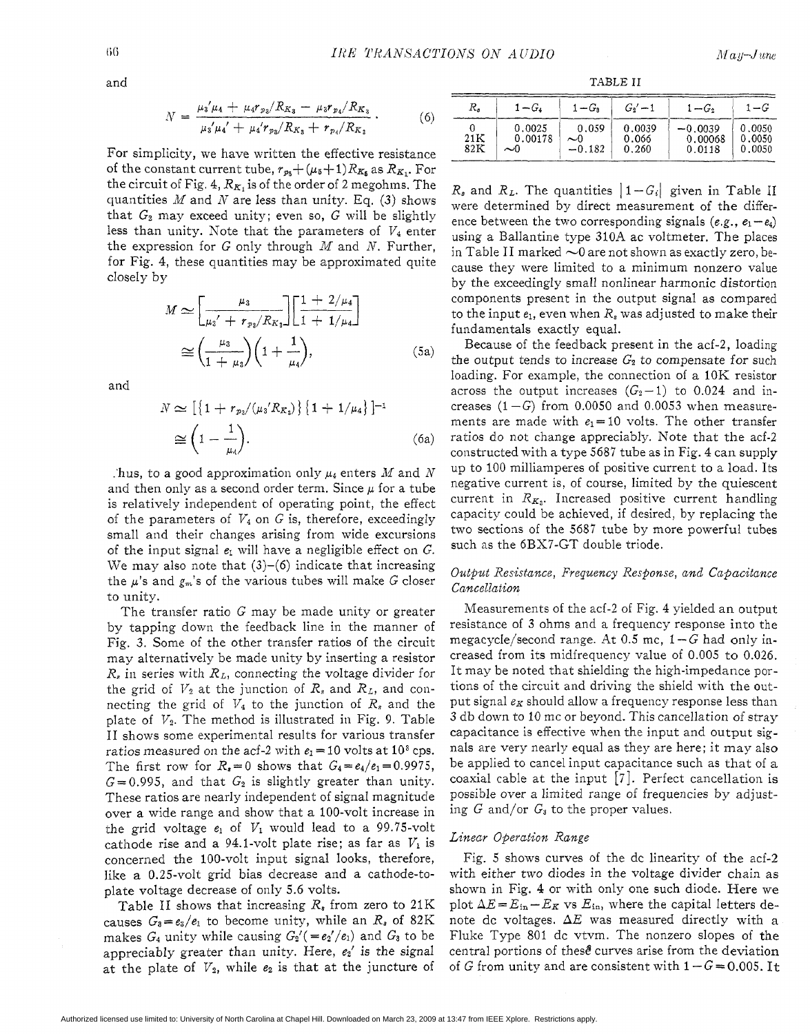$$
N = \frac{\mu_3/\mu_4 + \mu_4 r_{p_3}/R_{K_3} - \mu_3 r_{p_4}/R_{K_3}}{\mu_3/\mu_4' + \mu_4' r_{p_3}/R_{K_3} + r_{p_4}/R_{K_3}}.
$$
(6)

For simplicity, we have written the effective resistance of the constant current tube,  $r_{p_5} + (\mu_5 + 1)R_{K_5}$  as  $R_{K_1}$ . For the circuit of Fig. 4,  $R_{K_1}$  is of the order of 2 megohms. The quantities *M* and *N* are less than unity. Eq. **(3)** shows that  $G_2$  may exceed unity; even so,  $G$  will be slightly less than unity. Note that the parameters of  $V_4$  enter the expression for G only through *M* and *N.* Further, for Fig. 4, these quantities may be approximated quite closely by

$$
M \simeq \left[\frac{\mu_3}{\mu_3' + r_{p_3}/R_{K_3}}\right] \left[\frac{1 + 2/\mu_4}{1 + 1/\mu_4}\right]
$$
  
\n
$$
\simeq \left(\frac{\mu_3}{1 + \mu_3}\right) \left(1 + \frac{1}{\mu_4}\right),
$$
 (5a)

and

$$
N \simeq \left[ \{ 1 + r_{p_3} / (\mu_3' R_{K_3}) \} \{ 1 + 1 / \mu_4 \} \right]^{-1}
$$
  
\n
$$
\simeq \left( 1 - \frac{1}{\mu_4} \right). \tag{6a}
$$

. hus, to a good approximation only  $\mu_4$  enters M and N and then only as a second order term. Since  $\mu$  for a tube is relatively independent of operating point, the effect *of* the parameters of *V4* on G is, therefore, exceedingly small and their changes arising from wide excursions of the input signal  $e_1$  will have a negligible effect on  $G$ . We may also note that  $(3)-(6)$  indicate that increasing the  $\mu$ 's and  $g_m$ 's of the various tubes will make G closer to unity.

The transfer ratio G may be made unity or greater by tapping down the feedback line in the manner of Fig. 3. Some of the other transfer ratios of the circuit may alternatively be made unity by inserting a resistor *R,* in series with *RL,* connecting the voltage divider for the grid of  $V_2$  at the junction of  $R_s$  and  $R_L$ , and connecting the grid of  $V_4$  to the junction of  $R_s$  and the plate of  $V_2$ . The method is illustrated in Fig. 9. Table I1 shows some experimental results for various transfer ratios measured on the acf-2 with  $e_1 = 10$  volts at 10<sup>3</sup> cps. The first row for  $R_s = 0$  shows that  $G_4 = e_4/e_1 = 0.9975$ ,  $G = 0.995$ , and that  $G_2$  is slightly greater than unity. These ratios are nearly independent of signal magnitude over a wide range and show that a 100-volt increase in the grid voltage  $e_1$  of  $V_1$  would lead to a 99.75-volt cathode rise and a 94.1-volt plate rise; as far as  $V_1$  is concerned the 100-volt input signal looks, therefore, like a 0.25-volt grid bias decrease and a cathode-toplate voltage decrease of only *5.6* volts.

Table I1 shows that increasing *R8* from zero to **21** K causes  $G_3 = e_3/e_1$  to become unity, while an  $R_s$  of 82K makes  $G_4$  unity while causing  $G_2'$  (=e<sub>2</sub>'/e<sub>1</sub>) and  $G_3$  to be appreciably greater than unity. Here, *ez'* is the signal at the plate of  $V_2$ , while  $e_2$  is that at the juncture of

and TABLE **I1** 

| R,                    | $1-G$                   | $1-G_3$                                  | $G_2' - 1$               | $1-G_2$                        | $1-G$                      |
|-----------------------|-------------------------|------------------------------------------|--------------------------|--------------------------------|----------------------------|
| $21\mathrm{K}$<br>82K | 0.0025<br>0.00178<br>~0 | 0.059<br>$\sim$ <sup>0</sup><br>$-0.182$ | 0.0039<br>0.066<br>0.260 | $-0.0039$<br>0.00068<br>0.0118 | 0.0050<br>0.0050<br>0.0050 |

 $R_s$  and  $R_L$ . The quantities  $|1 - G_i|$  given in Table II were determined by direct measurement of the difference between the two corresponding signals  $(e, g_1, e_1 - e_4)$ using a Ballantine type 310A ac voltmeter. The places in Table II marked  $\sim$ 0 are not shown as exactly zero, because they were limited to a minimum nonzero value by the exceedingly small nonlinear harmonic distortion components present in the output signal as compared to the input  $e_1$ , even when  $R_s$  was adjusted to make their fundamentals exactly equal.

Because of the feedback present in the acf-2, loading the output tends to increase  $G_2$  to compensate for such loading. For example, the connection of a 10K resistor across the output increases  $(G_2-1)$  to 0.024 and increases  $(1 - G)$  from 0.0050 and 0.0053 when measurements are made with  $e_1=10$  volts. The other transfer ratios do not change appreciably. Note that the acf-2 constructed with a type *5687* tube as in Fig. 4 can supply up to 100 milliamperes of positive current to a load. Its negative current is, of course, limited by the quiescent current in  $R_{K_3}$ . Increased positive current handling capacity could be achieved, if desired, by replacing the two sections of the 5687 tube by more powerful tubes such as the 6BX7-GT double triode.

# *Output Resistance, Frequency Response, and Capacitance Cancellation*

Measurements of the acf-2 of Fig. 4 yielded an output resistance of 3 ohms and a frequency response into the megacycIe/second range. At 0.5 mc, 1 *-G* had only increased from its midfrequency value of *0.005* to 0.026. It may be noted that shielding the high-impedance portions of the circuit and driving the shield with the output signal  $e_K$  should allow a frequency response less than **3** db down to 10 mc or beyond. This cancellation of stray capacitance is effective when the input and output signals are very nearly equal as they are here; it may also be applied to cancel input capacitance such as that of a coaxial cable at the input [7]. Perfect cancellation is possible over a limited range of frequencies by adjusting  $G$  and/or  $G_3$  to the proper values.

# *Linear Operation Range*

Fig. 5 shows curves of the dc linearity of the acf-2 with either *two* diodes in the voltage divider chain as shown in Fig. **4** or with only one such diode. Here we plot  $\Delta E = E_{in} - E_K$  vs  $E_{in}$ , where the capital letters denote dc voltages. *AE* was measured directly with a Fluke Type 801 dc vtvm. The nonzero slopes of the central portions of these curves arise from the deviation of G from unity and are consistent with  $1 - G = 0.005$ . It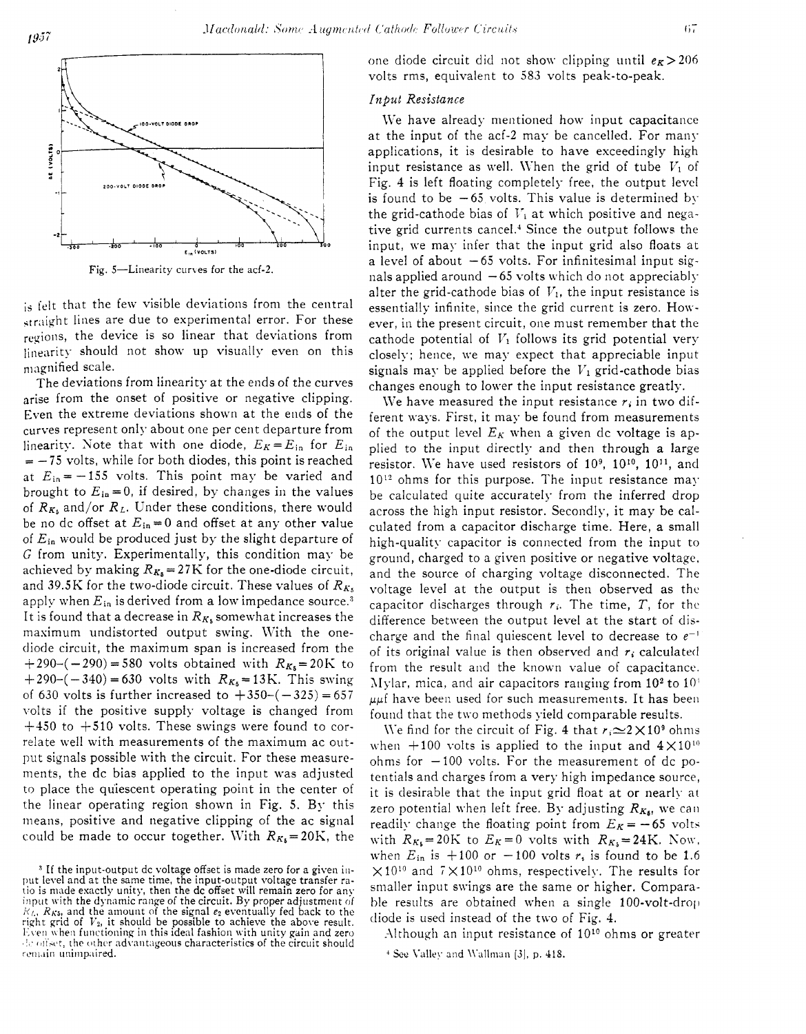$1957$ 



Fig. 5-Linearity curves for the acf-2.

is felt that the few visible deviations from the central straight lines are due to experimental error. For these regions, the device is so linear that deviations from linearity should not show up visually even on this magnified scale.

The deviations from linearity at the ends of the curves arise from the onset of positive or negative clipping. Even the extreme deviations shown at the ends of the curves represent only about one per cent departure from linearity. Note that with one diode,  $E_K = E_{in}$  for  $E_{in}$  $= -75$  volts, while for both diodes, this point is reached at  $E_{in} = -155$  volts. This point may be varied and brought to  $E_{\text{in}} = 0$ , if desired, by changes in the values of  $R_{K_5}$  and/or  $R_L$ . Under these conditions, there would be no dc offset at  $E_{in}=0$  and offset at any other value of *Ei,* would be produced just by the slight departure of G from unity. Experimentally, this condition may be achieved by making  $R_{K_5} = 27K$  for the one-diode circuit, and 39.5K for the two-diode circuit. These values of  $R_{K_5}$ apply when  $E_{in}$  is derived from a low impedance source.<sup>3</sup> It is found that a decrease in  $R_{K_5}$  somewhat increases the maximum undistorted output swing. With the onediode circuit, the maximum span is increased from the  $+290-(-290) = 580$  volts obtained with  $R_{K_5}=20K$  to  $+290-(-340) = 630$  volts with  $R_{K_5} = 13$ K. This swing of 630 volts is further increased to  $+350-(-325) = 657$ volts if the positive supply voltage is changed from  $+450$  to  $+510$  volts. These swings were found to correlate well with measurements of the maximum ac output signals possible with the circuit. For these measurements, the dc bias applied to the input was adjusted to place the quiescent operating point in the center of the linear operating region shown in Fig.  $5.$  By this means, positive and negative clipping of the ac signal could be made to occur together. With  $R_{K_5}=20$ K, the one diode circuit did not show clipping until  $e_K > 206$ volts rms, equivalent to 583 volts peak-to-peak.

# *Input Resistance*

*Machandd: Some Augmented Cathole Fullouer Circuits* ( $m = 20$ <br> **111**  $m = 20$ <br> **111**  $m = 20$ <br> **111**  $m = 20$ <br> **111**  $m = 20$ <br> **111**  $m = 20$ <br> **111**  $m = 20$ <br> **111**  $m = 20$ <br> **111**  $m = 20$ <br> **111**  $m = 20$ <br> **111**  $m = 20$ <br> **111**  $m$ We have already mentioned how input capacitance at the input of the acf-2 may be cancelled. For many applications, it is desirable to have exceedingly high input resistance as well. When the grid of tube  $V_1$  of Fig. 4 is left floating completely free, the output level is found to be  $-65$  volts. This value is determined by the grid-cathode bias of  $V_1$  at which positive and negative grid currents cancel.' Since the output follows the input, we may infer that the input grid also floats at a level of about *-65* volts. For infinitesimal input signals applied around  $-65$  volts which do not appreciably alter the grid-cathode bias of  $V_1$ , the input resistance is essentially infinite, since the grid current is zero. However, in the present circuit, one must remember that the cathode potential of  $V_1$  follows its grid potential very closely; hence, we may expect that appreciable input signals may be applied before the  $V_1$  grid-cathode bias changes enough to lower the input resistance greatly.

We have measured the input resistance  $r_i$  in two different ways. First, it may be found from measurements of the output level  $E_K$  when a given dc voltage is applied to the input directly and then through a large resistor. We have used resistors of  $10^9$ ,  $10^{10}$ ,  $10^{11}$ , and  $10^{12}$  ohms for this purpose. The input resistance may. be calculated quite accurately from the inferred drop across the high input resistor. Secondly, it may be calculated from a capacitor discharge time. Here, a small high-quality capacitor is connected from the input to ground, charged to a given positive or negative voltage, and the source of charging voltage disconnected. The voltage level at the output is then observed as the capacitor discharges through *ri.* The time, *T,* for thc difference between the output level at the start of discharge and the final quiescent level to decrease to  $e^{-1}$ of its original value is then observed and *ri* calculatetl from the result and the known value of capacitance. Mylar, mica, and air capacitors ranging from  $10^2$  to  $10^4$  $\mu$  $\mu$ f have been used for such measurements. It has been found that the two methods yield comparable results.

We find for the circuit of Fig. 4 that  $r_i \approx 2 \times 10^9$  ohms when  $+100$  volts is applied to the input and  $4\times10^{10}$ ohms for  $-100$  volts. For the measurement of dc potentials and charges from a very high impedance source, it is desirable that the input grid float at or nearly at zero potential when left free. By adjusting  $R_{K_{\delta}}$ , we can readily change the floating point from  $E_K = -65$  volts with  $R_{K_5}= 20K$  to  $E_K=0$  volts with  $R_{K_5}=24K$ . Now, when  $E_{in}$  is  $+100$  or  $-100$  volts  $r_i$  is found to be 1.6  $\times$ 10<sup>10</sup> and  $7\times$ 10<sup>10</sup> ohms, respectively. The results for smaller input swings are the same or higher. Comparable results are obtained when a single  $100$ -volt-drop diode is used instead of the two of Fig. 4.

Although an input resistance of  $10^{10}$  ohms or greater <sup>4</sup> See Valley and Wallman [3], p. 418.

<sup>&</sup>lt;sup>3</sup> If the input-output dc voltage offset is made zero for a given in- put level and at the same time, the input-output voltage transfer ratio is made exactly unity, then the dc offset will remain zero for any input with the dynamic range of the circuit. By proper adjustment of  $k<sub>L</sub>$ ,  $R<sub>K5</sub>$ , and the amount of the signal  $e<sub>2</sub>$  eventually fed back to the right grid of  $V_2$ , it should be possible to achieve the above result. Even when functioning in this ideal fashion with unity gain and zero  $\pm \epsilon$  offset, the other advantageous characteristics of the circuit should remain unimpaired.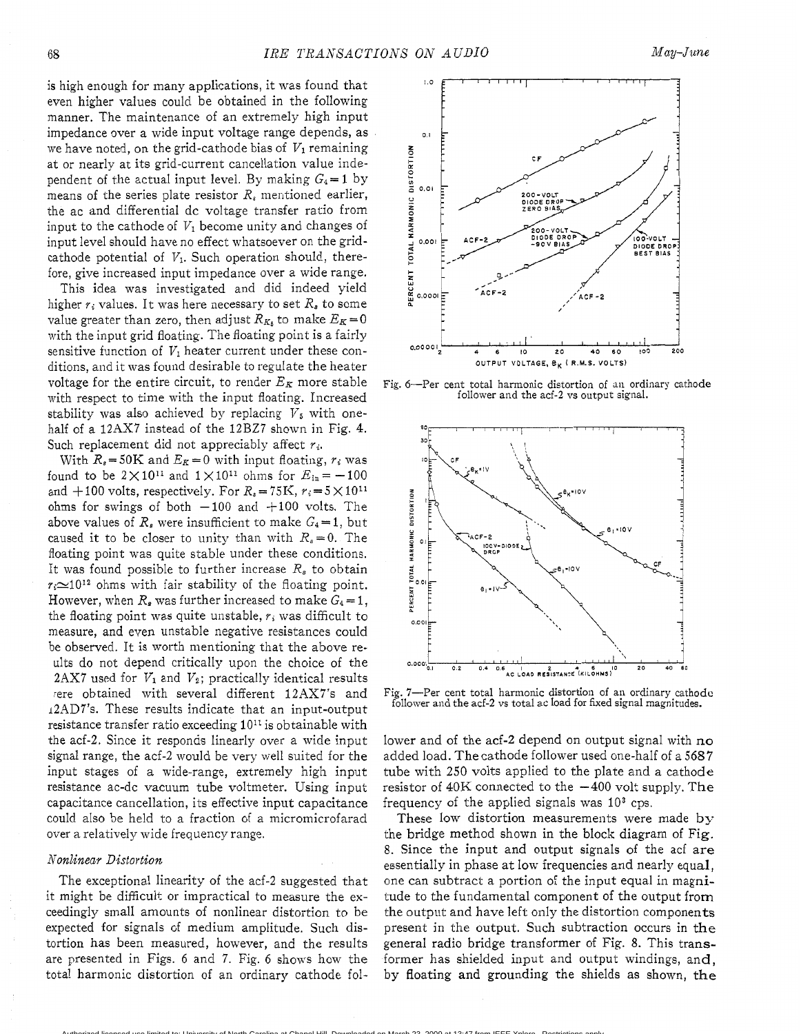is high enough for many applications, it was found that even higher values could be obtained in the following manner, The maintenance of an extremely high input impedance over a wide input voltage range depends, as we have noted, on the grid-cathode bias of  $V_1$  remaining at or nearly at its grid-current cancellation value independent of the actual input level. By making  $G_4 = 1$  by means of the series plate resistor *R,* mentioned earlier, the ac and differential dc voltage transfer ratio from input to the cathode of  $V_1$  become unity and changes of input level should have no effect whatsoever on the gridcathode potential of  $V_1$ . Such operation should, therefore, give increased input impedance over a wide range.

This idea was investigated and did indeed yield higher  $r_i$  values. It was here necessary to set  $R_s$  to some value greater than zero, then adjust  $R_{K_h}$  to make  $E_K = 0$ with the input grid floating. The floating point is a fairly sensitive function of  $V_1$  heater current under these conditions, and it was found desirable to regulate the heater voltage for the entire circuit, to render  $E_K$  more stable with respect to time with the input floating. Increased stability was also achieved by replacing  $V_5$  with onehalf of a 12AX7 instead of the 12BZ7 shown in Fig. **4.**  Such replacement did not appreciably affect  $r_i$ .

With  $R_s = 50$ K and  $E_R = 0$  with input floating,  $r_i$  was found to be  $2 \times 10^{11}$  and  $1 \times 10^{11}$  ohms for  $E_{\text{in}} = -100$ and  $+100$  volts, respectively. For  $R_s = 75$ K,  $r_i = 5 \times 10^{11}$ ohms for swings of both  $-100$  and  $+100$  volts. The above values of  $R_s$  were insufficient to make  $G_4 = 1$ , but caused it to be closer to unity than with  $R_s = 0$ . The floating point was quite stable under these conditions. It was found possible to further increase *Rs* to obtain  $r_i \approx 10^{12}$  ohms with fair stability of the floating point. However, when  $R_s$  was further increased to make  $G_4 = 1$ , the floating point was quite unstable, *ri* was difficult to measure, and even unstable negative resistances could be observed. It is worth mentioning that the above reults do not depend critically upon the choice of the 2AX7 used for  $V_1$  and  $V_2$ ; practically identical results rere obtained with several different 12AX7's and 12AD7's. These results indicate that an input-output resistance transfer ratio exceeding  $10^{11}$  is obtainable with the acf-2. Since it responds linearly over a wide input signal range, the acf-2 would be very well suited for the input stages of a wide-range, extremely high input resistance ac-dc vacuum tube voltmeter. Using input capacitance cancellation, its effective input capacitance could also be held to a fraction of a micromicrofarad over a relatively wide frequency range.

#### *Nonlinear Distortion*

The exceptional linearity of the acf-2 suggested that it might be difficult or impractical to measure the exceedingly small amounts of nonlinear distortion to be expected for signals of medium amplitude. Such distortion has been measured, however, and the results are presented in Figs. 6 and 7. Fig. 6 shows how the total harmonic distortion of an ordinary cathode fol-

Authorized licensed use limited to: University of North Carolina at Chapel Hill. Downloaded on March 23, 2009 at 13:47 from IEEE Xplore. Restrictions apply.



Fig. 6-Per cent total harmonic distortion of an ordinary cathode follower and the acf-2 **vs** output signal.



Fig. 7-Per cent total harmonic distortion of an ordinary cathode follower and the acf-2 **vs** total ac load for fixed signal magnitudes.

lower and of the acf-2 depend on output signal with no added load. The cathode follower used one-half of a *5687*  tube with 250 volts applied to the plate and a cathode resistor of  $40K$  connected to the  $-400$  volt supply. The frequency of the applied signals was **lo3** cps.

These low distortion measurements were made by the bridge method shown in the block diagram of Fig, 8. Since the input and output signals of the acf are essentially in phase at low frequencies and nearly equal, one can subtract a portion of the input equal in magnitude to the fundamental component of the output from the output and have left only the distortion components present in the output. Such subtraction occurs in the general radio bridge transformer of Fig. 8. This transformer has shielded input and output windings, and, by floating and grounding the shields as shown, the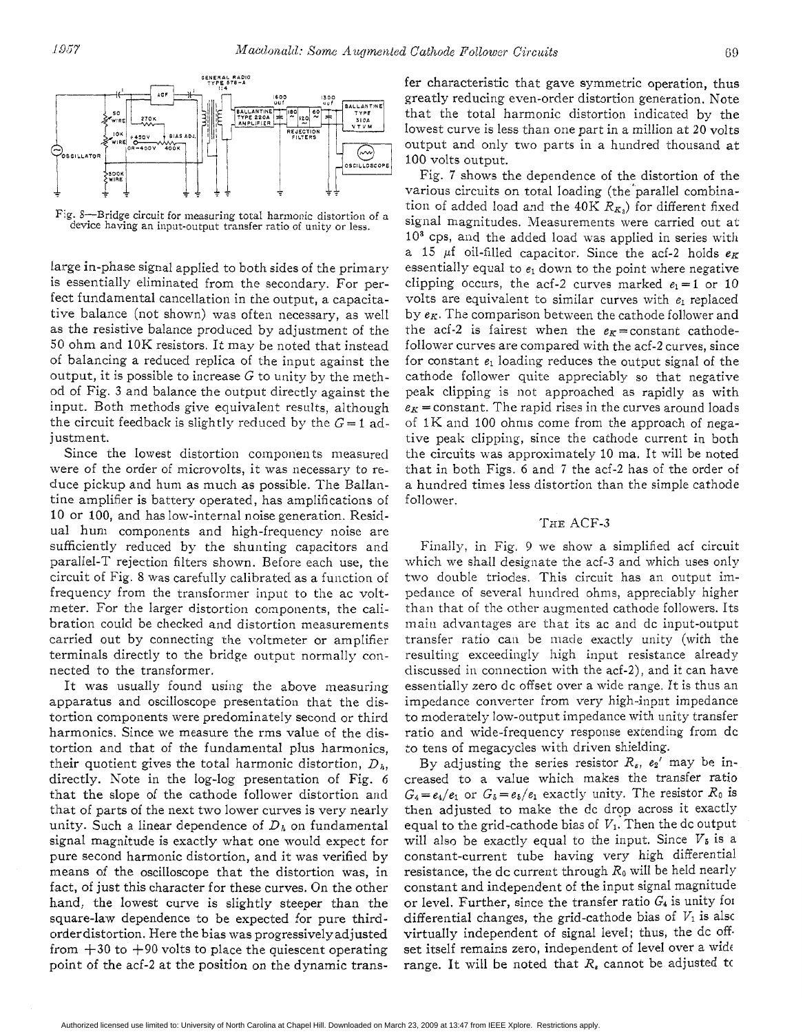Fig. 8-Bridge circuit for measuring total harmonic distortion of **a**  device having an input-output transfer ratio of unity or less.

large in-phase signal applied to both sides of the primary is essentially eliminated from the secondary. For perfect fundamental cancellation in the output, a capacitative balance (not shown) was often necessary, as well as the resistive balance produced by adjustment of the *50* ohm and 10K resistors. It may be noted that instead of balancing a reduced replica of the input against the output, it is possible to increase  $G$  to unity by the method of Fig. **3** and balance the output directly against the input. Both methods give equivalent results, although the circuit feedback is slightly reduced by the  $G=1$  adjustment.

Since the lowest distortion components measured were of the order of microvolts, it was necessary to reduce pickup and hum as much as possible. The Ballantine amplifier is battery operated, has amplifications of 10 or 100, and has low-internal noise generation. Residual hum components and high-frequency noise are sufficiently reduced by the shunting capacitors and parallel-T rejection filters shown. Before each use, the circuit of Fig. 8 was carefully calibrated as a function of frequency from the transformer input to the ac voltmeter. For the larger distortion components, the calibration could be checked and distortion measurements carried out by connecting the voltmeter or amplifier terminals directly to the bridge output normally connected to the transformer.

It was usually found using the above measuring apparatus and oscilloscope presentation that the distortion components were predominately second or third harmonics. Since we measure the rms value of the distortion and that of the fundamental plus harmonics, their quotient gives the total harmonic distortion,  $D<sub>h</sub>$ , directly. Note in the log-log presentation of Fig. 6 that the slope of the cathode follower distortion and that of parts of the next two lower curves is very nearly unity. Such a linear dependence of *Dh* on fundamental signal magnitude is exactly what one would expect for pure second harmonic distortion, and it was verified by means of the oscilloscope that the distortion was, in fact, of just this character for these curves. On the other hand, the lowest curve is slightly steeper than the square-law dependence to be expected for pure thirdorderdistortion. Here the bias was progressivelyadjusted from  $+30$  to  $+90$  volts to place the quiescent operating point of the acf-2 at the position on the dynamic transfer characteristic that gave symmetric operation, thus greatly reducing even-order distortion generation, Note that the total harmonic distortion indicated by the lowest curve is less than one part in a million at 20 volts output and only two parts in a hundred thousand at 100 volts output.

Fig. 7 shows the dependence of the distortion of the various circuits on total loading (the'parallel combination of added load and the  $40K R_{K_3}$  for different fixed signal magnitudes. Measurements were carried out at **IO3** CPS, and the added load was applied in series with a 15  $\mu$ f oil-filled capacitor. Since the acf-2 holds  $e_K$ essentially equal to  $e_1$  down to the point where negative clipping occurs, the acf-2 curves marked  $e_1 = 1$  or 10 volts are equivalent to similar curves with  $e_1$  replaced by  $e_K$ . The comparison between the cathode follower and the acf-2 is fairest when the  $e_K$  = constant cathodefollower curves are compared with the acf-2 curves, since for constant  $e_1$  loading reduces the output signal of the cathode follower quite appreciably so that negative peak clipping is not approached as rapidly as with  $e_K$  = constant. The rapid rises in the curves around loads of  $1K$  and 100 ohms come from the approach of negative peak clipping, since the cathode current in both the circuits was approximately 10 ma. It will be noted that in both Figs. 6 and *7* the acf-2 has of the order of a hundred times less distortion than the simple cathode follower.

## THE ACF-3

Finally, in Fig. 9 we show a simplified acf circuit which we shall designate the acf-3 and which uses only two double triodes. This circuit has an output impedance of several hundred ohms, appreciably higher than that of the other augmented cathode followers. Its main advantages arc that its ac and dc input-output transfer ratio can be made exactly unity (with the resulting exceedingly high input resistance already discussed in connection with the acf-2), and it can have essentially zero dc offset over a wide range. It is thus an impedance converter from very high-input impedance to moderately low-output impedance with unity transfer ratio and wide-frequency response extending from dc to tens of megacycles with driven shielding.

By adjusting the series resistor  $R_s$ ,  $e_2$ ' may be increased to a value which makes the transfer atio  $G_4 = e_4/e_1$  or  $G_5 = e_5/e_1$  exactly unity. The resistor  $R_0$  is then adjusted to make the dc drop across it exactly equal to the grid-cathode bias of*VI.* Then the dc output will also be exactly equal to the input. Since  $V_{\delta}$  is a constant-current ube having very high differential resistance, the dc current through  $R_0$  will be held nearly constant and independent of the input signal magnitude or level. Further, since the transfer ratio  $G_4$  is unity for differential changes, the grid-cathode bias of  $V_1$  is also virtually independent of signal level; thus, the dc off. set itself remains zero, independent of level over a wide range. It will be noted that *R,* cannot be adjusted tc